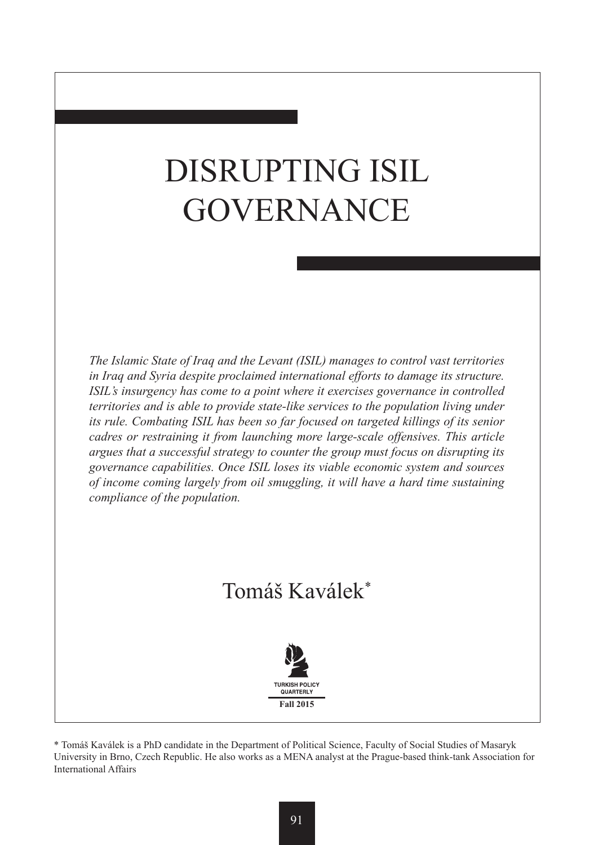# DISRUPTING ISIL **GOVERNANCE**

*The Islamic State of Iraq and the Levant (ISIL) manages to control vast territories in Iraq and Syria despite proclaimed international efforts to damage its structure. ISIL's insurgency has come to a point where it exercises governance in controlled territories and is able to provide state-like services to the population living under its rule. Combating ISIL has been so far focused on targeted killings of its senior cadres or restraining it from launching more large-scale offensives. This article argues that a successful strategy to counter the group must focus on disrupting its governance capabilities. Once ISIL loses its viable economic system and sources of income coming largely from oil smuggling, it will have a hard time sustaining compliance of the population.*

# Tomáš Kaválek\*



\* Tomáš Kaválek is a PhD candidate in the Department of Political Science, Faculty of Social Studies of Masaryk University in Brno, Czech Republic. He also works as a MENA analyst at the Prague-based think-tank Association for International Affairs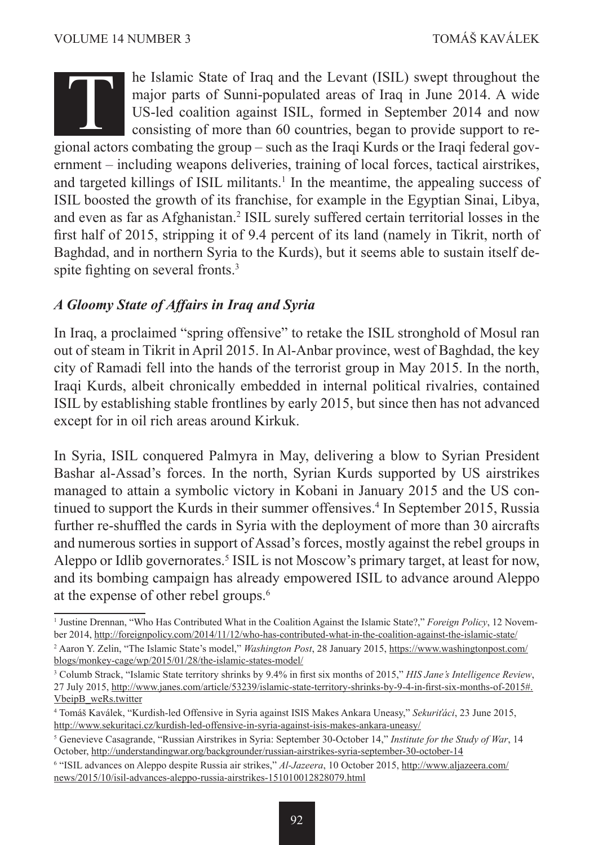he Islamic State of Iraq and the Levant (ISIL) swept throughout the major parts of Sunni-populated areas of Iraq in June 2014. A wide US-led coalition against ISIL, formed in September 2014 and now consisting of more than 60 countries, began to provide support to rehe Islamic State of Iraq and the Levant (ISIL) swept throughout the major parts of Sunni-populated areas of Iraq in June 2014. A wide US-led coalition against ISIL, formed in September 2014 and now consisting of more than ernment – including weapons deliveries, training of local forces, tactical airstrikes, and targeted killings of ISIL militants.<sup>1</sup> In the meantime, the appealing success of ISIL boosted the growth of its franchise, for example in the Egyptian Sinai, Libya, and even as far as Afghanistan.<sup>2</sup> ISIL surely suffered certain territorial losses in the first half of 2015, stripping it of 9.4 percent of its land (namely in Tikrit, north of Baghdad, and in northern Syria to the Kurds), but it seems able to sustain itself despite fighting on several fronts.<sup>3</sup>

#### *A Gloomy State of Affairs in Iraq and Syria*

In Iraq, a proclaimed "spring offensive" to retake the ISIL stronghold of Mosul ran out of steam in Tikrit in April 2015. In Al-Anbar province, west of Baghdad, the key city of Ramadi fell into the hands of the terrorist group in May 2015. In the north, Iraqi Kurds, albeit chronically embedded in internal political rivalries, contained ISIL by establishing stable frontlines by early 2015, but since then has not advanced except for in oil rich areas around Kirkuk.

In Syria, ISIL conquered Palmyra in May, delivering a blow to Syrian President Bashar al-Assad's forces. In the north, Syrian Kurds supported by US airstrikes managed to attain a symbolic victory in Kobani in January 2015 and the US continued to support the Kurds in their summer offensives.<sup>4</sup> In September 2015, Russia further re-shuffled the cards in Syria with the deployment of more than 30 aircrafts and numerous sorties in support of Assad's forces, mostly against the rebel groups in Aleppo or Idlib governorates.<sup>5</sup> ISIL is not Moscow's primary target, at least for now, and its bombing campaign has already empowered ISIL to advance around Aleppo at the expense of other rebel groups.6

<sup>&</sup>lt;sup>1</sup> Justine Drennan, "Who Has Contributed What in the Coalition Against the Islamic State?," *Foreign Policy*, 12 November 2014, http://foreignpolicy.com/2014/11/12/who-has-contributed-what-in-the-coalition-against-the-islamic-state/

<sup>2</sup> Aaron Y. Zelin, "The Islamic State's model," *Washington Post*, 28 January 2015, https://www.washingtonpost.com/ blogs/monkey-cage/wp/2015/01/28/the-islamic-states-model/

<sup>3</sup> Columb Strack, "Islamic State territory shrinks by 9.4% in first six months of 2015," *HIS Jane's Intelligence Review*, 27 July 2015, http://www.janes.com/article/53239/islamic-state-territory-shrinks-by-9-4-in-first-six-months-of-2015#. VbeipB\_weRs.twitter

<sup>4</sup> Tomáš Kaválek, "Kurdish-led Offensive in Syria against ISIS Makes Ankara Uneasy," *Sekuriťáci*, 23 June 2015, http://www.sekuritaci.cz/kurdish-led-offensive-in-syria-against-isis-makes-ankara-uneasy/

<sup>5</sup> Genevieve Casagrande, "Russian Airstrikes in Syria: September 30-October 14," *Institute for the Study of War*, 14 October, http://understandingwar.org/backgrounder/russian-airstrikes-syria-september-30-october-14

<sup>6</sup> "ISIL advances on Aleppo despite Russia air strikes," *Al-Jazeera*, 10 October 2015, http://www.aljazeera.com/ news/2015/10/isil-advances-aleppo-russia-airstrikes-151010012828079.html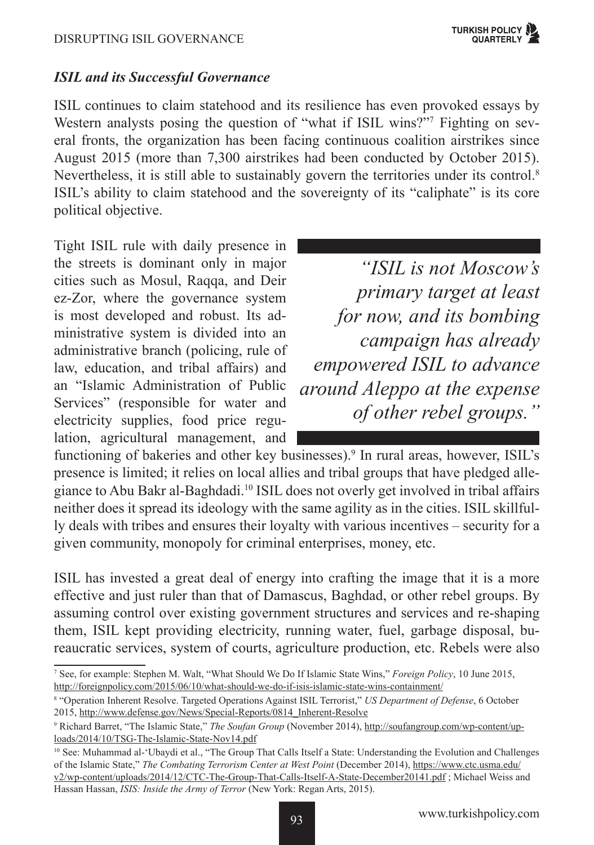#### *ISIL and its Successful Governance*

ISIL continues to claim statehood and its resilience has even provoked essays by Western analysts posing the question of "what if ISIL wins?"7 Fighting on several fronts, the organization has been facing continuous coalition airstrikes since August 2015 (more than 7,300 airstrikes had been conducted by October 2015). Nevertheless, it is still able to sustainably govern the territories under its control.<sup>8</sup> ISIL's ability to claim statehood and the sovereignty of its "caliphate" is its core political objective.

Tight ISIL rule with daily presence in the streets is dominant only in major cities such as Mosul, Raqqa, and Deir ez-Zor, where the governance system is most developed and robust. Its administrative system is divided into an administrative branch (policing, rule of law, education, and tribal affairs) and an "Islamic Administration of Public Services" (responsible for water and electricity supplies, food price regulation, agricultural management, and

*"ISIL is not Moscow's primary target at least for now, and its bombing campaign has already empowered ISIL to advance around Aleppo at the expense of other rebel groups."*

functioning of bakeries and other key businesses).<sup>9</sup> In rural areas, however, ISIL's presence is limited; it relies on local allies and tribal groups that have pledged allegiance to Abu Bakr al-Baghdadi.10 ISIL does not overly get involved in tribal affairs neither does it spread its ideology with the same agility as in the cities. ISIL skillfully deals with tribes and ensures their loyalty with various incentives – security for a given community, monopoly for criminal enterprises, money, etc.

ISIL has invested a great deal of energy into crafting the image that it is a more effective and just ruler than that of Damascus, Baghdad, or other rebel groups. By assuming control over existing government structures and services and re-shaping them, ISIL kept providing electricity, running water, fuel, garbage disposal, bureaucratic services, system of courts, agriculture production, etc. Rebels were also

<sup>7</sup> See, for example: Stephen M. Walt, "What Should We Do If Islamic State Wins," *Foreign Policy*, 10 June 2015, http://foreignpolicy.com/2015/06/10/what-should-we-do-if-isis-islamic-state-wins-containment/

<sup>8</sup> "Operation Inherent Resolve. Targeted Operations Against ISIL Terrorist," *US Department of Defense*, 6 October 2015, http://www.defense.gov/News/Special-Reports/0814\_Inherent-Resolve

<sup>9</sup> Richard Barret, "The Islamic State," *The Soufan Group* (November 2014), http://soufangroup.com/wp-content/uploads/2014/10/TSG-The-Islamic-State-Nov14.pdf

<sup>&</sup>lt;sup>10</sup> See: Muhammad al-'Ubaydi et al., "The Group That Calls Itself a State: Understanding the Evolution and Challenges of the Islamic State," *The Combating Terrorism Center at West Point* (December 2014), https://www.ctc.usma.edu/ v2/wp-content/uploads/2014/12/CTC-The-Group-That-Calls-Itself-A-State-December20141.pdf ; Michael Weiss and Hassan Hassan, *ISIS: Inside the Army of Terror* (New York: Regan Arts, 2015).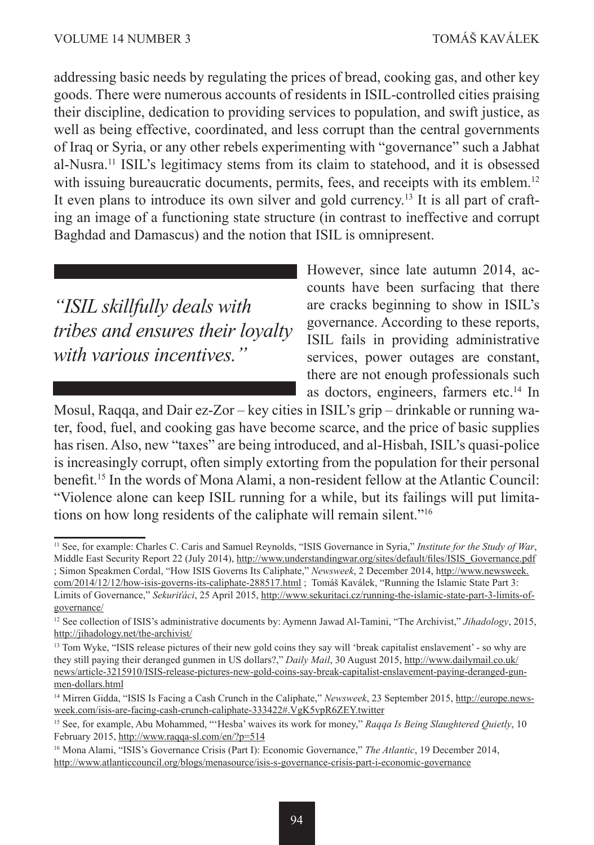addressing basic needs by regulating the prices of bread, cooking gas, and other key goods. There were numerous accounts of residents in ISIL-controlled cities praising their discipline, dedication to providing services to population, and swift justice, as well as being effective, coordinated, and less corrupt than the central governments of Iraq or Syria, or any other rebels experimenting with "governance" such a Jabhat al-Nusra.11 ISIL's legitimacy stems from its claim to statehood, and it is obsessed with issuing bureaucratic documents, permits, fees, and receipts with its emblem.<sup>12</sup> It even plans to introduce its own silver and gold currency.<sup>13</sup> It is all part of crafting an image of a functioning state structure (in contrast to ineffective and corrupt Baghdad and Damascus) and the notion that ISIL is omnipresent.

*"ISIL skillfully deals with tribes and ensures their loyalty with various incentives."*

However, since late autumn 2014, accounts have been surfacing that there are cracks beginning to show in ISIL's governance. According to these reports, ISIL fails in providing administrative services, power outages are constant, there are not enough professionals such as doctors, engineers, farmers etc.<sup>14</sup> In

Mosul, Raqqa, and Dair ez-Zor – key cities in ISIL's grip – drinkable or running water, food, fuel, and cooking gas have become scarce, and the price of basic supplies has risen. Also, new "taxes" are being introduced, and al-Hisbah, ISIL's quasi-police is increasingly corrupt, often simply extorting from the population for their personal benefit.15 In the words of Mona Alami, a non-resident fellow at the Atlantic Council: "Violence alone can keep ISIL running for a while, but its failings will put limitations on how long residents of the caliphate will remain silent."16

<sup>11</sup> See, for example: Charles C. Caris and Samuel Reynolds, "ISIS Governance in Syria," *Institute for the Study of War*, Middle East Security Report 22 (July 2014), http://www.understandingwar.org/sites/default/files/ISIS\_Governance.pdf ; Simon Speakmen Cordal, "How ISIS Governs Its Caliphate," *Newsweek*, 2 December 2014, http://www.newsweek. com/2014/12/12/how-isis-governs-its-caliphate-288517.html ; Tomáš Kaválek, "Running the Islamic State Part 3: Limits of Governance," *Sekuriťáci*, 25 April 2015, http://www.sekuritaci.cz/running-the-islamic-state-part-3-limits-ofgovernance/

<sup>12</sup> See collection of ISIS's administrative documents by: Aymenn Jawad Al-Tamini, "The Archivist," *Jihadology*, 2015, http://jihadology.net/the-archivist/

<sup>&</sup>lt;sup>13</sup> Tom Wyke, "ISIS release pictures of their new gold coins they say will 'break capitalist enslavement' - so why are they still paying their deranged gunmen in US dollars?," *Daily Mail*, 30 August 2015, http://www.dailymail.co.uk/ news/article-3215910/ISIS-release-pictures-new-gold-coins-say-break-capitalist-enslavement-paying-deranged-gunmen-dollars.html

<sup>14</sup> Mirren Gidda, "ISIS Is Facing a Cash Crunch in the Caliphate," *Newsweek*, 23 September 2015, http://europe.newsweek.com/isis-are-facing-cash-crunch-caliphate-333422#.VgK5vpR6ZEY.twitter

<sup>15</sup> See, for example, Abu Mohammed, "'Hesba' waives its work for money," *Raqqa Is Being Slaughtered Quietly*, 10 February 2015, http://www.raqqa-sl.com/en/?p=514

<sup>16</sup> Mona Alami, "ISIS's Governance Crisis (Part I): Economic Governance," *The Atlantic*, 19 December 2014, http://www.atlanticcouncil.org/blogs/menasource/isis-s-governance-crisis-part-i-economic-governance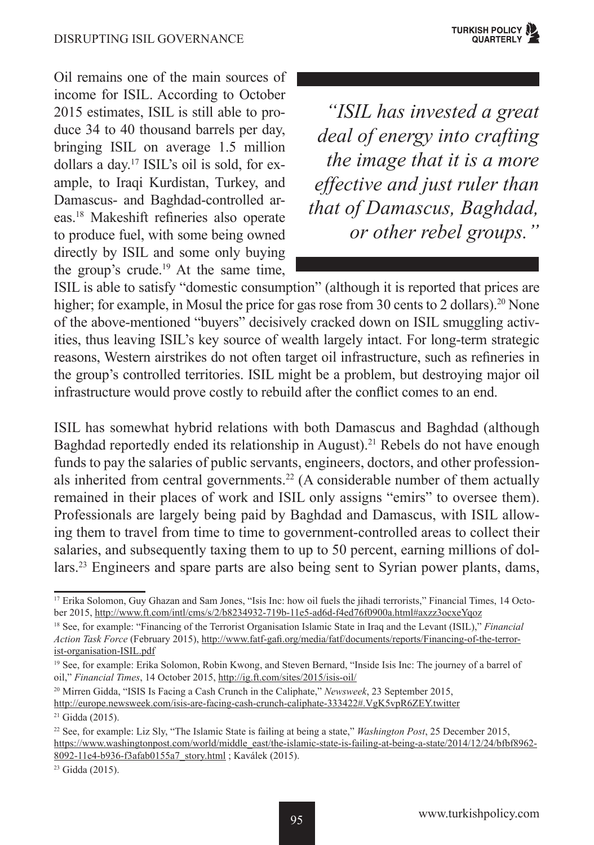Oil remains one of the main sources of income for ISIL. According to October 2015 estimates, ISIL is still able to produce 34 to 40 thousand barrels per day, bringing ISIL on average 1.5 million dollars a day.17 ISIL's oil is sold, for example, to Iraqi Kurdistan, Turkey, and Damascus- and Baghdad-controlled areas.18 Makeshift refineries also operate to produce fuel, with some being owned directly by ISIL and some only buying the group's crude.<sup>19</sup> At the same time,

*"ISIL has invested a great deal of energy into crafting the image that it is a more effective and just ruler than that of Damascus, Baghdad, or other rebel groups."*

ISIL is able to satisfy "domestic consumption" (although it is reported that prices are higher; for example, in Mosul the price for gas rose from 30 cents to 2 dollars).<sup>20</sup> None of the above-mentioned "buyers" decisively cracked down on ISIL smuggling activities, thus leaving ISIL's key source of wealth largely intact. For long-term strategic reasons, Western airstrikes do not often target oil infrastructure, such as refineries in the group's controlled territories. ISIL might be a problem, but destroying major oil infrastructure would prove costly to rebuild after the conflict comes to an end.

ISIL has somewhat hybrid relations with both Damascus and Baghdad (although Baghdad reportedly ended its relationship in August).<sup>21</sup> Rebels do not have enough funds to pay the salaries of public servants, engineers, doctors, and other professionals inherited from central governments.<sup>22</sup> (A considerable number of them actually remained in their places of work and ISIL only assigns "emirs" to oversee them). Professionals are largely being paid by Baghdad and Damascus, with ISIL allowing them to travel from time to time to government-controlled areas to collect their salaries, and subsequently taxing them to up to 50 percent, earning millions of dollars.23 Engineers and spare parts are also being sent to Syrian power plants, dams,

http://europe.newsweek.com/isis-are-facing-cash-crunch-caliphate-333422#.VgK5vpR6ZEY.twitter

<sup>&</sup>lt;sup>17</sup> Erika Solomon, Guy Ghazan and Sam Jones, "Isis Inc: how oil fuels the jihadi terrorists," Financial Times, 14 October 2015, http://www.ft.com/intl/cms/s/2/b8234932-719b-11e5-ad6d-f4ed76f0900a.html#axzz3ocxeYqoz

<sup>18</sup> See, for example: "Financing of the Terrorist Organisation Islamic State in Iraq and the Levant (ISIL)," *Financial Action Task Force* (February 2015), http://www.fatf-gafi.org/media/fatf/documents/reports/Financing-of-the-terrorist-organisation-ISIL.pdf

<sup>19</sup> See, for example: Erika Solomon, Robin Kwong, and Steven Bernard, "Inside Isis Inc: The journey of a barrel of oil," *Financial Times*, 14 October 2015, http://ig.ft.com/sites/2015/isis-oil/

<sup>20</sup> Mirren Gidda, "ISIS Is Facing a Cash Crunch in the Caliphate," *Newsweek*, 23 September 2015,

<sup>21</sup> Gidda (2015).

<sup>22</sup> See, for example: Liz Sly, "The Islamic State is failing at being a state," *Washington Post*, 25 December 2015, https://www.washingtonpost.com/world/middle\_east/the-islamic-state-is-failing-at-being-a-state/2014/12/24/bfbf8962-8092-11e4-b936-f3afab0155a7\_story.html ; Kaválek (2015).

<sup>23</sup> Gidda (2015).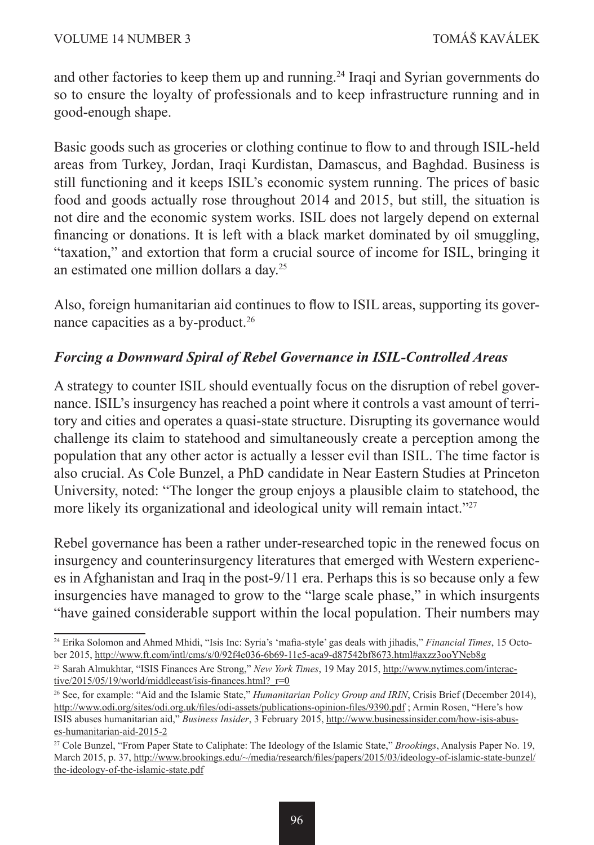and other factories to keep them up and running.24 Iraqi and Syrian governments do so to ensure the loyalty of professionals and to keep infrastructure running and in good-enough shape.

Basic goods such as groceries or clothing continue to flow to and through ISIL-held areas from Turkey, Jordan, Iraqi Kurdistan, Damascus, and Baghdad. Business is still functioning and it keeps ISIL's economic system running. The prices of basic food and goods actually rose throughout 2014 and 2015, but still, the situation is not dire and the economic system works. ISIL does not largely depend on external financing or donations. It is left with a black market dominated by oil smuggling, "taxation," and extortion that form a crucial source of income for ISIL, bringing it an estimated one million dollars a day.<sup>25</sup>

Also, foreign humanitarian aid continues to flow to ISIL areas, supporting its governance capacities as a by-product.<sup>26</sup>

# *Forcing a Downward Spiral of Rebel Governance in ISIL-Controlled Areas*

A strategy to counter ISIL should eventually focus on the disruption of rebel governance. ISIL's insurgency has reached a point where it controls a vast amount of territory and cities and operates a quasi-state structure. Disrupting its governance would challenge its claim to statehood and simultaneously create a perception among the population that any other actor is actually a lesser evil than ISIL. The time factor is also crucial. As Cole Bunzel, a PhD candidate in Near Eastern Studies at Princeton University, noted: "The longer the group enjoys a plausible claim to statehood, the more likely its organizational and ideological unity will remain intact."<sup>27</sup>

Rebel governance has been a rather under-researched topic in the renewed focus on insurgency and counterinsurgency literatures that emerged with Western experiences in Afghanistan and Iraq in the post-9/11 era. Perhaps this is so because only a few insurgencies have managed to grow to the "large scale phase," in which insurgents "have gained considerable support within the local population. Their numbers may

<sup>24</sup> Erika Solomon and Ahmed Mhidi, "Isis Inc: Syria's 'mafia-style' gas deals with jihadis," *Financial Times*, 15 October 2015, http://www.ft.com/intl/cms/s/0/92f4e036-6b69-11e5-aca9-d87542bf8673.html#axzz3ooYNeb8g

<sup>25</sup> Sarah Almukhtar, "ISIS Finances Are Strong," *New York Times*, 19 May 2015, http://www.nytimes.com/interactive/2015/05/19/world/middleeast/isis-finances.html?\_r=0

<sup>26</sup> See, for example: "Aid and the Islamic State," *Humanitarian Policy Group and IRIN*, Crisis Brief (December 2014), http://www.odi.org/sites/odi.org.uk/files/odi-assets/publications-opinion-files/9390.pdf ; Armin Rosen, "Here's how ISIS abuses humanitarian aid," *Business Insider*, 3 February 2015, http://www.businessinsider.com/how-isis-abuses-humanitarian-aid-2015-2

<sup>27</sup> Cole Bunzel, "From Paper State to Caliphate: The Ideology of the Islamic State," *Brookings*, Analysis Paper No. 19, March 2015, p. 37, http://www.brookings.edu/~/media/research/files/papers/2015/03/ideology-of-islamic-state-bunzel/ the-ideology-of-the-islamic-state.pdf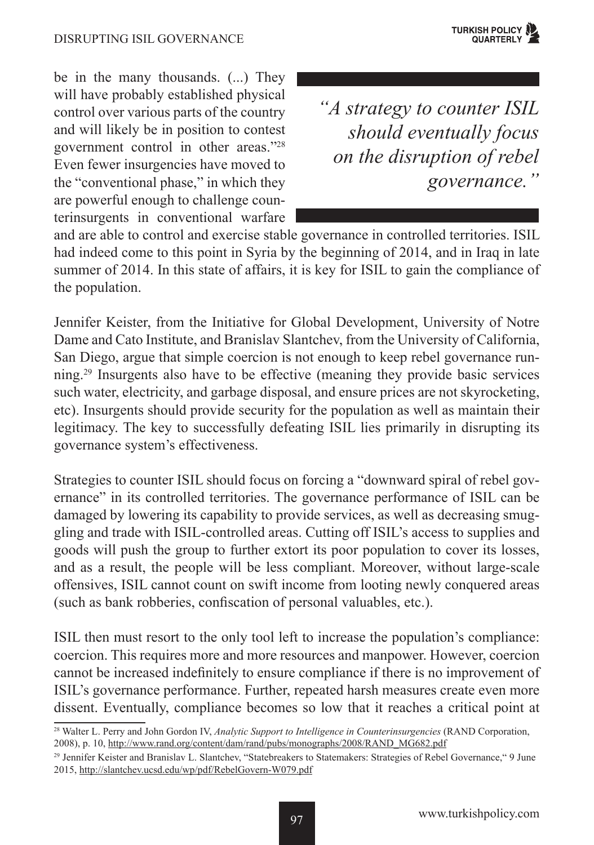

be in the many thousands. (...) They will have probably established physical control over various parts of the country and will likely be in position to contest government control in other areas."28 Even fewer insurgencies have moved to the "conventional phase," in which they are powerful enough to challenge counterinsurgents in conventional warfare

*"A strategy to counter ISIL should eventually focus on the disruption of rebel governance."*

and are able to control and exercise stable governance in controlled territories. ISIL had indeed come to this point in Syria by the beginning of 2014, and in Iraq in late summer of 2014. In this state of affairs, it is key for ISIL to gain the compliance of the population.

Jennifer Keister, from the Initiative for Global Development, University of Notre Dame and Cato Institute, and Branislav Slantchev, from the University of California, San Diego, argue that simple coercion is not enough to keep rebel governance running.29 Insurgents also have to be effective (meaning they provide basic services such water, electricity, and garbage disposal, and ensure prices are not skyrocketing, etc). Insurgents should provide security for the population as well as maintain their legitimacy. The key to successfully defeating ISIL lies primarily in disrupting its governance system's effectiveness.

Strategies to counter ISIL should focus on forcing a "downward spiral of rebel governance" in its controlled territories. The governance performance of ISIL can be damaged by lowering its capability to provide services, as well as decreasing smuggling and trade with ISIL-controlled areas. Cutting off ISIL's access to supplies and goods will push the group to further extort its poor population to cover its losses, and as a result, the people will be less compliant. Moreover, without large-scale offensives, ISIL cannot count on swift income from looting newly conquered areas (such as bank robberies, confiscation of personal valuables, etc.).

ISIL then must resort to the only tool left to increase the population's compliance: coercion. This requires more and more resources and manpower. However, coercion cannot be increased indefinitely to ensure compliance if there is no improvement of ISIL's governance performance. Further, repeated harsh measures create even more dissent. Eventually, compliance becomes so low that it reaches a critical point at

<sup>28</sup> Walter L. Perry and John Gordon IV, *Analytic Support to Intelligence in Counterinsurgencies* (RAND Corporation, 2008), p. 10, http://www.rand.org/content/dam/rand/pubs/monographs/2008/RAND\_MG682.pdf

<sup>29</sup> Jennifer Keister and Branislav L. Slantchev, "Statebreakers to Statemakers: Strategies of Rebel Governance," 9 June 2015, http://slantchev.ucsd.edu/wp/pdf/RebelGovern-W079.pdf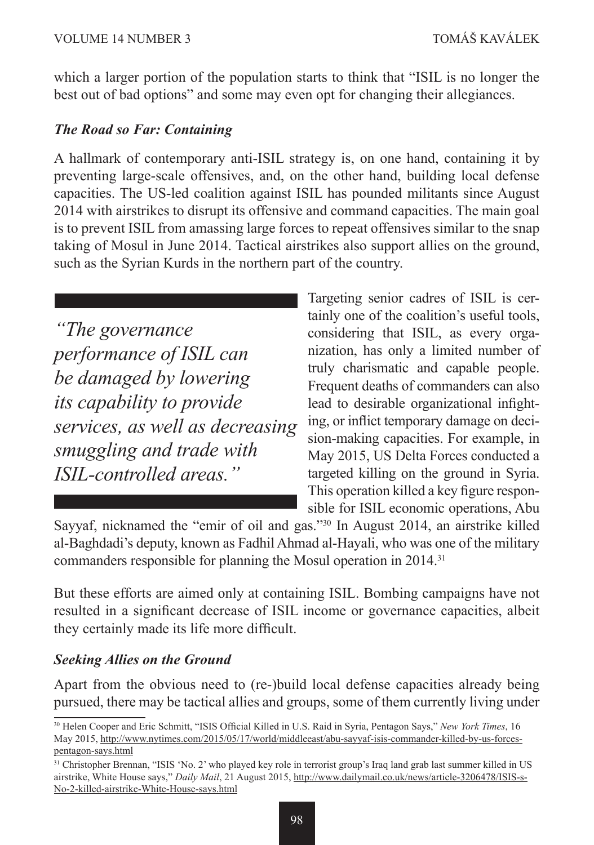which a larger portion of the population starts to think that "ISIL is no longer the best out of bad options" and some may even opt for changing their allegiances.

#### *The Road so Far: Containing*

A hallmark of contemporary anti-ISIL strategy is, on one hand, containing it by preventing large-scale offensives, and, on the other hand, building local defense capacities. The US-led coalition against ISIL has pounded militants since August 2014 with airstrikes to disrupt its offensive and command capacities. The main goal is to prevent ISIL from amassing large forces to repeat offensives similar to the snap taking of Mosul in June 2014. Tactical airstrikes also support allies on the ground, such as the Syrian Kurds in the northern part of the country.

*"The governance performance of ISIL can be damaged by lowering its capability to provide services, as well as decreasing smuggling and trade with ISIL-controlled areas."*

Targeting senior cadres of ISIL is certainly one of the coalition's useful tools, considering that ISIL, as every organization, has only a limited number of truly charismatic and capable people. Frequent deaths of commanders can also lead to desirable organizational infighting, or inflict temporary damage on decision-making capacities. For example, in May 2015, US Delta Forces conducted a targeted killing on the ground in Syria. This operation killed a key figure responsible for ISIL economic operations, Abu

Sayyaf, nicknamed the "emir of oil and gas."30 In August 2014, an airstrike killed al-Baghdadi's deputy, known as Fadhil Ahmad al-Hayali, who was one of the military commanders responsible for planning the Mosul operation in 2014.<sup>31</sup>

But these efforts are aimed only at containing ISIL. Bombing campaigns have not resulted in a significant decrease of ISIL income or governance capacities, albeit they certainly made its life more difficult.

#### *Seeking Allies on the Ground*

Apart from the obvious need to (re-)build local defense capacities already being pursued, there may be tactical allies and groups, some of them currently living under

<sup>30</sup> Helen Cooper and Eric Schmitt, "ISIS Official Killed in U.S. Raid in Syria, Pentagon Says," *New York Times*, 16 May 2015, http://www.nytimes.com/2015/05/17/world/middleeast/abu-sayyaf-isis-commander-killed-by-us-forcespentagon-says.html

<sup>31</sup> Christopher Brennan, "ISIS 'No. 2' who played key role in terrorist group's Iraq land grab last summer killed in US airstrike, White House says," *Daily Mail*, 21 August 2015, http://www.dailymail.co.uk/news/article-3206478/ISIS-s-No-2-killed-airstrike-White-House-says.html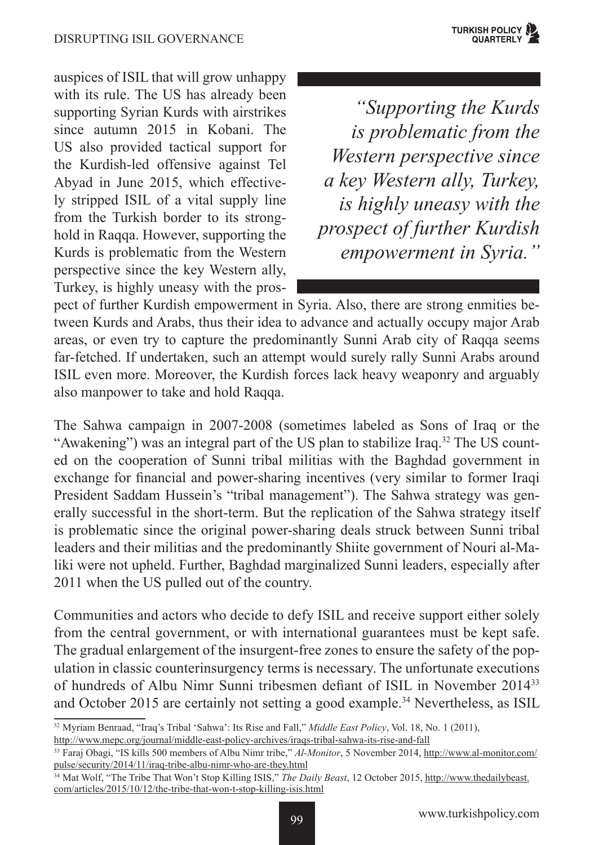auspices of ISIL that will grow unhappy with its rule. The US has already been supporting Syrian Kurds with airstrikes since autumn 2015 in Kobani. The US also provided tactical support for the Kurdish-led offensive against Tel Abyad in June 2015, which effectively stripped ISIL of a vital supply line from the Turkish border to its stronghold in Raqqa. However, supporting the Kurds is problematic from the Western perspective since the key Western ally, Turkey, is highly uneasy with the pros-

*"Supporting the Kurds is problematic from the Western perspective since a key Western ally, Turkey, is highly uneasy with the prospect of further Kurdish empowerment in Syria."* 

pect of further Kurdish empowerment in Syria. Also, there are strong enmities between Kurds and Arabs, thus their idea to advance and actually occupy major Arab areas, or even try to capture the predominantly Sunni Arab city of Raqqa seems far-fetched. If undertaken, such an attempt would surely rally Sunni Arabs around ISIL even more. Moreover, the Kurdish forces lack heavy weaponry and arguably also manpower to take and hold Raqqa.

The Sahwa campaign in 2007-2008 (sometimes labeled as Sons of Iraq or the "Awakening") was an integral part of the US plan to stabilize Iraq.32 The US counted on the cooperation of Sunni tribal militias with the Baghdad government in exchange for financial and power-sharing incentives (very similar to former Iraqi President Saddam Hussein's "tribal management"). The Sahwa strategy was generally successful in the short-term. But the replication of the Sahwa strategy itself is problematic since the original power-sharing deals struck between Sunni tribal leaders and their militias and the predominantly Shiite government of Nouri al-Maliki were not upheld. Further, Baghdad marginalized Sunni leaders, especially after 2011 when the US pulled out of the country.

Communities and actors who decide to defy ISIL and receive support either solely from the central government, or with international guarantees must be kept safe. The gradual enlargement of the insurgent-free zones to ensure the safety of the population in classic counterinsurgency terms is necessary. The unfortunate executions of hundreds of Albu Nimr Sunni tribesmen defiant of ISIL in November 2014<sup>33</sup> and October 2015 are certainly not setting a good example.34 Nevertheless, as ISIL

http://www.mepc.org/journal/middle-east-policy-archives/iraqs-tribal-sahwa-its-rise-and-fall

<sup>32</sup> Myriam Benraad, "Iraq's Tribal 'Sahwa': Its Rise and Fall," *Middle East Policy*, Vol. 18, No. 1 (2011),

<sup>33</sup> Faraj Obagi, "IS kills 500 members of Albu Nimr tribe," *Al-Monitor*, 5 November 2014, http://www.al-monitor.com/ pulse/security/2014/11/iraq-tribe-albu-nimr-who-are-they.html

<sup>34</sup> Mat Wolf, "The Tribe That Won't Stop Killing ISIS," *The Daily Beast*, 12 October 2015, http://www.thedailybeast. com/articles/2015/10/12/the-tribe-that-won-t-stop-killing-isis.html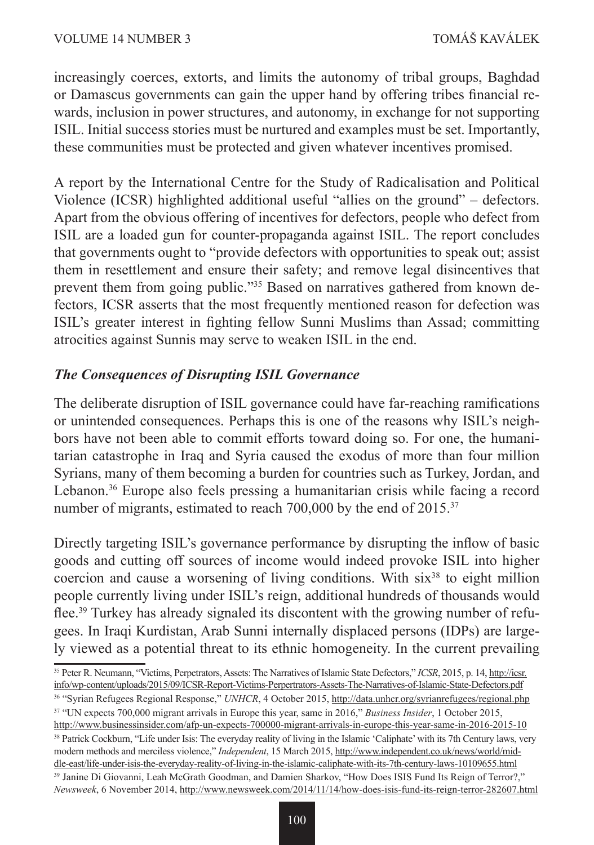increasingly coerces, extorts, and limits the autonomy of tribal groups, Baghdad or Damascus governments can gain the upper hand by offering tribes financial rewards, inclusion in power structures, and autonomy, in exchange for not supporting ISIL. Initial success stories must be nurtured and examples must be set. Importantly, these communities must be protected and given whatever incentives promised.

A report by the International Centre for the Study of Radicalisation and Political Violence (ICSR) highlighted additional useful "allies on the ground" – defectors. Apart from the obvious offering of incentives for defectors, people who defect from ISIL are a loaded gun for counter-propaganda against ISIL. The report concludes that governments ought to "provide defectors with opportunities to speak out; assist them in resettlement and ensure their safety; and remove legal disincentives that prevent them from going public."35 Based on narratives gathered from known defectors, ICSR asserts that the most frequently mentioned reason for defection was ISIL's greater interest in fighting fellow Sunni Muslims than Assad; committing atrocities against Sunnis may serve to weaken ISIL in the end.

### *The Consequences of Disrupting ISIL Governance*

The deliberate disruption of ISIL governance could have far-reaching ramifications or unintended consequences. Perhaps this is one of the reasons why ISIL's neighbors have not been able to commit efforts toward doing so. For one, the humanitarian catastrophe in Iraq and Syria caused the exodus of more than four million Syrians, many of them becoming a burden for countries such as Turkey, Jordan, and Lebanon.<sup>36</sup> Europe also feels pressing a humanitarian crisis while facing a record number of migrants, estimated to reach 700,000 by the end of 2015.<sup>37</sup>

Directly targeting ISIL's governance performance by disrupting the inflow of basic goods and cutting off sources of income would indeed provoke ISIL into higher coercion and cause a worsening of living conditions. With  $six<sup>38</sup>$  to eight million people currently living under ISIL's reign, additional hundreds of thousands would flee.39 Turkey has already signaled its discontent with the growing number of refugees. In Iraqi Kurdistan, Arab Sunni internally displaced persons (IDPs) are largely viewed as a potential threat to its ethnic homogeneity. In the current prevailing

- 36 "Syrian Refugees Regional Response," *UNHCR*, 4 October 2015, http://data.unhcr.org/syrianrefugees/regional.php
- 37 "UN expects 700,000 migrant arrivals in Europe this year, same in 2016," *Business Insider*, 1 October 2015, http://www.businessinsider.com/afp-un-expects-700000-migrant-arrivals-in-europe-this-year-same-in-2016-2015-10

<sup>38</sup> Patrick Cockburn, "Life under Isis: The everyday reality of living in the Islamic 'Caliphate' with its 7th Century laws, very

modern methods and merciless violence," *Independent*, 15 March 2015, http://www.independent.co.uk/news/world/middle-east/life-under-isis-the-everyday-reality-of-living-in-the-islamic-caliphate-with-its-7th-century-laws-10109655.html

<sup>35</sup> Peter R. Neumann, "Victims, Perpetrators, Assets: The Narratives of Islamic State Defectors," *ICSR*, 2015, p. 14, http://icsr. info/wp-content/uploads/2015/09/ICSR-Report-Victims-Perpertrators-Assets-The-Narratives-of-Islamic-State-Defectors.pdf

<sup>39</sup> Janine Di Giovanni, Leah McGrath Goodman, and Damien Sharkov, "How Does ISIS Fund Its Reign of Terror?," *Newsweek*, 6 November 2014, http://www.newsweek.com/2014/11/14/how-does-isis-fund-its-reign-terror-282607.html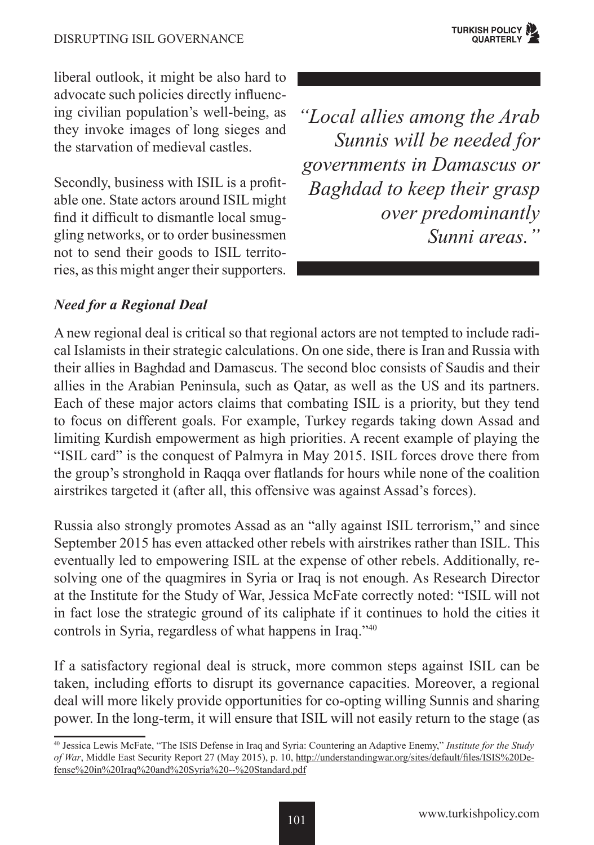liberal outlook, it might be also hard to advocate such policies directly influencing civilian population's well-being, as they invoke images of long sieges and the starvation of medieval castles.

Secondly, business with ISIL is a profitable one. State actors around ISIL might find it difficult to dismantle local smuggling networks, or to order businessmen not to send their goods to ISIL territories, as this might anger their supporters. *"Local allies among the Arab Sunnis will be needed for governments in Damascus or Baghdad to keep their grasp over predominantly Sunni areas."*

# *Need for a Regional Deal*

A new regional deal is critical so that regional actors are not tempted to include radical Islamists in their strategic calculations. On one side, there is Iran and Russia with their allies in Baghdad and Damascus. The second bloc consists of Saudis and their allies in the Arabian Peninsula, such as Qatar, as well as the US and its partners. Each of these major actors claims that combating ISIL is a priority, but they tend to focus on different goals. For example, Turkey regards taking down Assad and limiting Kurdish empowerment as high priorities. A recent example of playing the "ISIL card" is the conquest of Palmyra in May 2015. ISIL forces drove there from the group's stronghold in Raqqa over flatlands for hours while none of the coalition airstrikes targeted it (after all, this offensive was against Assad's forces).

Russia also strongly promotes Assad as an "ally against ISIL terrorism," and since September 2015 has even attacked other rebels with airstrikes rather than ISIL. This eventually led to empowering ISIL at the expense of other rebels. Additionally, resolving one of the quagmires in Syria or Iraq is not enough. As Research Director at the Institute for the Study of War, Jessica McFate correctly noted: "ISIL will not in fact lose the strategic ground of its caliphate if it continues to hold the cities it controls in Syria, regardless of what happens in Iraq."40

If a satisfactory regional deal is struck, more common steps against ISIL can be taken, including efforts to disrupt its governance capacities. Moreover, a regional deal will more likely provide opportunities for co-opting willing Sunnis and sharing power. In the long-term, it will ensure that ISIL will not easily return to the stage (as

<sup>40</sup> Jessica Lewis McFate, "The ISIS Defense in Iraq and Syria: Countering an Adaptive Enemy," *Institute for the Study of War*, Middle East Security Report 27 (May 2015), p. 10, http://understandingwar.org/sites/default/files/ISIS%20Defense%20in%20Iraq%20and%20Syria%20--%20Standard.pdf